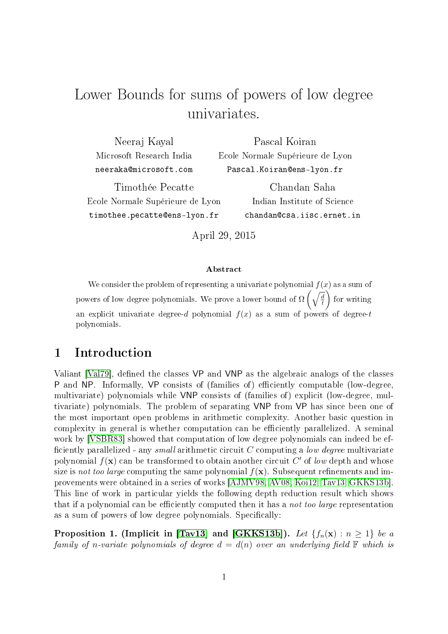# Lower Bounds for sums of powers of low degree univariates.

| Neeraj Kayal                     | Pascal Koiran                    |  |
|----------------------------------|----------------------------------|--|
| Microsoft Research India         | Ecole Normale Supérieure de Lyon |  |
| neeraka@microsoft.com            | Pascal.Koiran@ens-lyon.fr        |  |
| Timothée Pecatte                 | Chandan Saha                     |  |
| Ecole Normale Supérieure de Lyon | Indian Institute of Science      |  |
| timothee.pecatte@ens-lyon.fr     | chandan@csa.iisc.ernet.in        |  |

April 29, 2015

#### Abstract

We consider the problem of representing a univariate polynomial  $f(x)$  as a sum of powers of low degree polynomials. We prove a lower bound of  $\Omega\left(\sqrt{\frac{d}{t}}\right)$ t for writing an explicit univariate degree-d polynomial  $f(x)$  as a sum of powers of degree-t polynomials.

# 1 Introduction

Valiant [\[Val79\]](#page-12-0), defined the classes VP and VNP as the algebraic analogs of the classes P and NP. Informally, VP consists of (families of) efficiently computable (low-degree, multivariate) polynomials while VNP consists of (families of) explicit (low-degree, multivariate) polynomials. The problem of separating VNP from VP has since been one of the most important open problems in arithmetic complexity. Another basic question in complexity in general is whether computation can be efficiently parallelized. A seminal work by [\[VSBR83\]](#page-12-1) showed that computation of low degree polynomials can indeed be ef ficiently parallelized - any small arithmetic circuit  $C$  computing a low degree multivariate polynomial  $f(\mathbf{x})$  can be transformed to obtain another circuit  $C'$  of low depth and whose size is not too large computing the same polynomial  $f(\mathbf{x})$ . Subsequent refinements and improvements were obtained in a series of works [\[AJMV98,](#page-11-0) [AV08,](#page-11-1) [Koi12,](#page-11-2) [Tav13,](#page-12-2) [GKKS13b\]](#page-11-3). This line of work in particular yields the following depth reduction result which shows that if a polynomial can be efficiently computed then it has a *not too large* representation as a sum of powers of low degree polynomials. Specifically:

<span id="page-0-0"></span>Proposition 1. (Implicit in [\[Tav13\]](#page-12-2) and [\[GKKS13b\]](#page-11-3)). Let  $\{f_n(\mathbf{x}) : n \geq 1\}$  be a family of n-variate polynomials of degree  $d = d(n)$  over an underlying field  $\mathbb F$  which is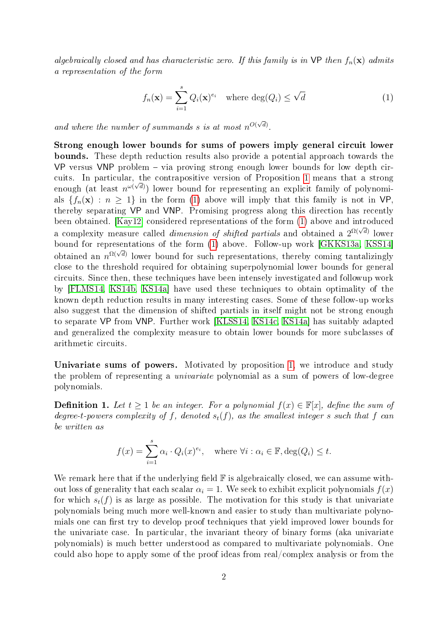algebraically closed and has characteristic zero. If this family is in  $\mathsf{VP}$  then  $f_n(\mathbf{x})$  admits a representation of the form

<span id="page-1-0"></span>
$$
f_n(\mathbf{x}) = \sum_{i=1}^s Q_i(\mathbf{x})^{e_i} \quad \text{where } \deg(Q_i) \le \sqrt{d} \tag{1}
$$

and where the number of summands s is at most  $n^{O(\sqrt{d})}$ .

Strong enough lower bounds for sums of powers imply general circuit lower bounds. These depth reduction results also provide a potential approach towards the VP versus VNP problem  $-$  via proving strong enough lower bounds for low depth cir-cuits. In particular, the contrapositive version of Proposition [1](#page-0-0) means that a strong enough (at least  $n^{\omega(\sqrt{d})}$ ) lower bound for representing an explicit family of polynomials  ${f_n(\mathbf{x}) : n \geq 1}$  in the form [\(1\)](#page-1-0) above will imply that this family is not in VP, thereby separating VP and VNP. Promising progress along this direction has recently been obtained. [\[Kay12\]](#page-11-4) considered representations of the form [\(1\)](#page-1-0) above and introduced a complexity measure called *dimension of shifted partials* and obtained a  $2^{\Omega(\sqrt{d})}$  lower bound for representations of the form [\(1\)](#page-1-0) above. Follow-up work [\[GKKS13a,](#page-11-5) [KSS14\]](#page-12-3) bound for representations of the form  $(1)$  above. Tonow ap work [CIRISTOR, RSSTI]<br>obtained an  $n^{\Omega(\sqrt{d})}$  lower bound for such representations, thereby coming tantalizingly close to the threshold required for obtaining superpolynomial lower bounds for general circuits. Since then, these techniques have been intensely investigated and followup work by [\[FLMS14,](#page-11-6) [KS14b,](#page-12-4) [KS14a\]](#page-12-5) have used these techniques to obtain optimality of the known depth reduction results in many interesting cases. Some of these follow-up works also suggest that the dimension of shifted partials in itself might not be strong enough to separate VP from VNP. Further work [\[KLSS14,](#page-11-7) [KS14c,](#page-12-6) [KS14a\]](#page-12-5) has suitably adapted and generalized the complexity measure to obtain lower bounds for more subclasses of arithmetic circuits.

Univariate sums of powers. Motivated by proposition [1,](#page-0-0) we introduce and study the problem of representing a univariate polynomial as a sum of powers of low-degree polynomials.

**Definition 1.** Let  $t \geq 1$  be an integer. For a polynomial  $f(x) \in \mathbb{F}[x]$ , define the sum of degree-t-powers complexity of f, denoted  $s_t(f)$ , as the smallest integer s such that f can be written as

$$
f(x) = \sum_{i=1}^{s} \alpha_i \cdot Q_i(x)^{e_i}, \quad \text{where } \forall i : \alpha_i \in \mathbb{F}, \deg(Q_i) \le t.
$$

We remark here that if the underlying field  $\mathbb F$  is algebraically closed, we can assume without loss of generality that each scalar  $\alpha_i = 1$ . We seek to exhibit explicit polynomials  $f(x)$ for which  $s<sub>f</sub>(f)$  is as large as possible. The motivation for this study is that univariate polynomials being much more well-known and easier to study than multivariate polynomials one can first try to develop proof techniques that yield improved lower bounds for the univariate case. In particular, the invariant theory of binary forms (aka univariate polynomials) is much better understood as compared to multivariate polynomials. One could also hope to apply some of the proof ideas from real/complex analysis or from the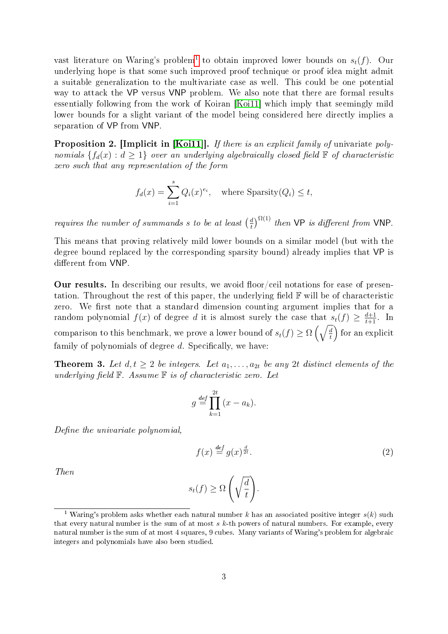vast literature on Waring's problem<sup>[1](#page-2-0)</sup> to obtain improved lower bounds on  $s_t(f)$ . Our underlying hope is that some such improved proof technique or proof idea might admit a suitable generalization to the multivariate case as well. This could be one potential way to attack the VP versus VNP problem. We also note that there are formal results essentially following from the work of Koiran [\[Koi11\]](#page-11-8) which imply that seemingly mild lower bounds for a slight variant of the model being considered here directly implies a separation of VP from VNP.

<span id="page-2-2"></span>Proposition 2. [Implicit in [\[Koi11\]](#page-11-8)]. If there is an explicit family of univariate polynomials  $\{f_d(x): d \geq 1\}$  over an underlying algebraically closed field  $\mathbb F$  of characteristic zero such that any representation of the form

$$
f_d(x) = \sum_{i=1}^s Q_i(x)^{e_i}, \quad \text{where Sparsity}(Q_i) \le t,
$$

requires the number of summands s to be at least  $\left(\frac{d}{t}\right)$  $\frac{d}{dt}$ )<sup> $\Omega(1)$ </sup> then VP is different from VNP.

This means that proving relatively mild lower bounds on a similar model (but with the degree bound replaced by the corresponding sparsity bound) already implies that VP is different from VNP.

Our results. In describing our results, we avoid floor/ceil notations for ease of presentation. Throughout the rest of this paper, the underlying field  $\mathbb F$  will be of characteristic zero. We first note that a standard dimension counting argument implies that for a random polynomial  $f(x)$  of degree d it is almost surely the case that  $s_t(f) \geq \frac{d+1}{t+1}$ . In comparison to this benchmark, we prove a lower bound of  $s_t(f) \ge \Omega\left(\sqrt{\frac{d}{t}}\right)$  $\overline{\frac{d}{t}}\Bigr)$  for an explicit family of polynomials of degree  $d$ . Specifically, we have:

<span id="page-2-1"></span>**Theorem 3.** Let  $d, t \geq 2$  be integers. Let  $a_1, \ldots, a_{2t}$  be any 2t distinct elements of the underlying field  $\mathbb F$ . Assume  $\mathbb F$  is of characteristic zero. Let

$$
g \stackrel{def}{=} \prod_{k=1}^{2t} (x - a_k).
$$

Define the univariate polynomial,

$$
f(x) \stackrel{\text{def}}{=} g(x)^{\frac{d}{2t}}.
$$
 (2)

Then

$$
s_t(f) \ge \Omega\left(\sqrt{\frac{d}{t}}\right).
$$

<span id="page-2-0"></span><sup>&</sup>lt;sup>1</sup> Waring's problem asks whether each natural number k has an associated positive integer  $s(k)$  such that every natural number is the sum of at most  $s$  k-th powers of natural numbers. For example, every natural number is the sum of at most 4 squares, 9 cubes. Many variants of Waring's problem for algebraic integers and polynomials have also been studied.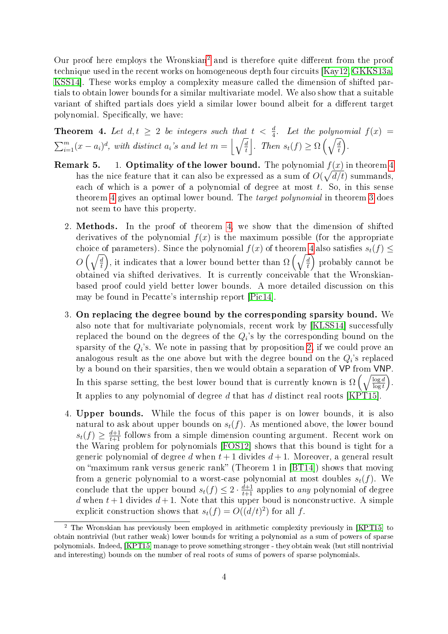Our proof here employs the Wronskian<sup>[2](#page-3-0)</sup> and is therefore quite different from the proof technique used in the recent works on homogeneous depth four circuits [\[Kay12,](#page-11-4) [GKKS13a,](#page-11-5) [KSS14\]](#page-12-3). These works employ a complexity measure called the dimension of shifted partials to obtain lower bounds for a similar multivariate model. We also show that a suitable variant of shifted partials does yield a similar lower bound albeit for a different target polynomial. Specifically, we have:

<span id="page-3-1"></span>**Theorem 4.** Let  $d, t \geq 2$  be integers such that  $t < \frac{d}{4}$ . Let the polynomial  $f(x) =$  $\sum_{i=1}^{m}(x-a_i)^d$ , with distinct  $a_i$ 's and let  $m = \left\lfloor \sqrt{\frac{d}{t}}\right\rfloor$  $\frac{d}{dt}$ . Then  $s_t(f) \geq \Omega\left(\sqrt{\frac{d}{t}}\right)$  $\left(\frac{d}{t}\right).$ 

- <span id="page-3-2"></span>**Remark 5.** 1. Optimality of the lower bound. The polynomial  $f(x)$  in theorem [4](#page-3-1) has the nice feature that it can also be expressed as a sum of  $O(\sqrt{d/t})$  summands, each of which is a power of a polynomial of degree at most  $t$ . So, in this sense theorem [4](#page-3-1) gives an optimal lower bound. The target polynomial in theorem [3](#page-2-1) does not seem to have this property.
	- 2. Methods. In the proof of theorem [4,](#page-3-1) we show that the dimension of shifted derivatives of the polynomial  $f(x)$  is the maximum possible (for the appropriate choice of parameters). Since the polynomial  $f(x)$  of theorem [4](#page-3-1) also satisfies  $s_t(f) \leq$  $O\left(\sqrt{\frac{d}{t}}\right)$  $\left(\frac{d}{t}\right)$ , it indicates that a lower bound better than  $\Omega\left(\sqrt{\frac{d}{t}}\right)$  $\left(\frac{d}{t}\right)$  probably cannot be obtained via shifted derivatives. It is currently conceivable that the Wronskianbased proof could yield better lower bounds. A more detailed discussion on this may be found in Pecatte's internship report [\[Pic14\]](#page-12-7).
	- 3. On replacing the degree bound by the corresponding sparsity bound. We also note that for multivariate polynomials, recent work by [\[KLSS14\]](#page-11-7) successfully replaced the bound on the degrees of the  $Q_i$ 's by the corresponding bound on the sparsity of the  $Q_i$ 's. We note in passing that by proposition [2,](#page-2-2) if we could prove an analogous result as the one above but with the degree bound on the  $Q_i$ 's replaced by a bound on their sparsities, then we would obtain a separation of VP from VNP. In this sparse setting, the best lower bound that is currently known is  $\Omega\left(\sqrt{\frac{\log d}{\log t}}\right)$ . It applies to any polynomial of degree  $d$  that has  $d$  distinct real roots [\[KPT15\]](#page-11-9).
	- 4. Upper bounds. While the focus of this paper is on lower bounds, it is also natural to ask about upper bounds on  $s_t(f)$ . As mentioned above, the lower bound  $s_t(f) \geq \frac{d+1}{t+1}$  follows from a simple dimension counting argument. Recent work on the Waring problem for polynomials [\[FOS12\]](#page-11-10) shows that this bound is tight for a generic polynomial of degree d when  $t + 1$  divides  $d + 1$ . Moreover, a general result on "maximum rank versus generic rank" (Theorem 1 in  $[BT14]$ ) shows that moving from a generic polynomial to a worst-case polynomial at most doubles  $s_t(f)$ . We conclude that the upper bound  $s_t(f) \leq 2 \cdot \frac{d+1}{t+1}$  applies to any polynomial of degree d when  $t+1$  divides  $d+1$ . Note that this upper boud is nonconstructive. A simple explicit construction shows that  $s_t(f) = O((d/t)^2)$  for all f.

<span id="page-3-0"></span><sup>2</sup> The Wronskian has previously been employed in arithmetic complexity previously in [\[KPT15\]](#page-11-9) to obtain nontrivial (but rather weak) lower bounds for writing a polynomial as a sum of powers of sparse polynomials. Indeed, [\[KPT15\]](#page-11-9) manage to prove something stronger - they obtain weak (but still nontrivial and interesting) bounds on the number of real roots of sums of powers of sparse polynomials.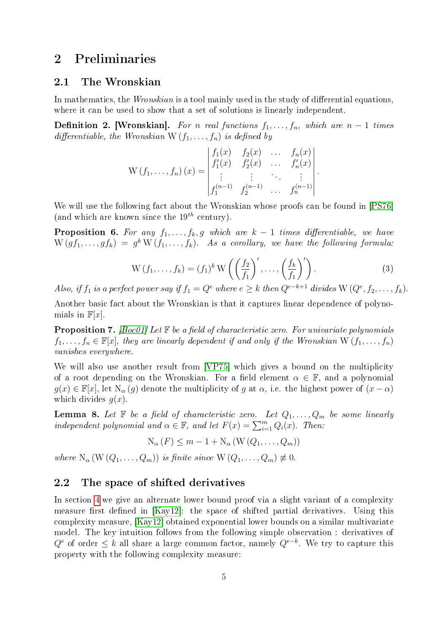# <span id="page-4-0"></span>2 Preliminaries

#### 2.1 The Wronskian

In mathematics, the *Wronskian* is a tool mainly used in the study of differential equations, where it can be used to show that a set of solutions is linearly independent.

**Definition 2. [Wronskian].** For n real functions  $f_1, \ldots, f_n$ , which are  $n-1$  times differentiable, the Wronskian W  $(f_1, \ldots, f_n)$  is defined by

$$
W(f_1, ..., f_n)(x) = \begin{vmatrix} f_1(x) & f_2(x) & \dots & f_n(x) \\ f'_1(x) & f'_2(x) & \dots & f'_n(x) \\ \vdots & \vdots & \ddots & \vdots \\ f_1^{(n-1)} & f_2^{(n-1)} & \dots & f_n^{(n-1)} \end{vmatrix}.
$$

We will use the following fact about the Wronskian whose proofs can be found in [\[PS76\]](#page-12-8) (and which are known since the  $19^{th}$  century).

**Proposition 6.** For any  $f_1, \ldots, f_k, g$  which are  $k-1$  times differentiable, we have  $W(gf_1,\ldots, gf_k) = g^k\, W(f_1,\ldots, f_k).$  As a corollary, we have the following formula:

$$
W(f_1, \ldots, f_k) = (f_1)^k W \left( \left( \frac{f_2}{f_1} \right)', \ldots, \left( \frac{f_k}{f_1} \right)' \right).
$$
 (3)

Also, if  $f_1$  is a perfect power say if  $f_1 = Q^e$  where  $e \geq k$  then  $Q^{e-k+1}$  divides  $W(Q^e, f_2, \ldots, f_k)$ .

Another basic fact about the Wronskian is that it captures linear dependence of polynomials in  $\mathbb{F}[x]$ .

**Proposition 7.** [\[Boc01\]](#page-11-12) Let  $\mathbb{F}$  be a field of characteristic zero. For univariate polynomials  $f_1, \ldots, f_n \in \mathbb{F}[x]$ , they are linearly dependent if and only if the Wronskian W $(f_1, \ldots, f_n)$ vanishes everywhere.

We will also use another result from [\[VP75\]](#page-12-9) which gives a bound on the multiplicity of a root depending on the Wronskian. For a field element  $\alpha \in \mathbb{F}$ , and a polynomial  $g(x) \in \mathbb{F}[x]$ , let  $N_{\alpha}(g)$  denote the multiplicity of g at  $\alpha$ , i.e. the highest power of  $(x - \alpha)$ which divides  $q(x)$ .

<span id="page-4-1"></span>**Lemma 8.** Let  $\mathbb{F}$  be a field of characteristic zero. Let  $Q_1, \ldots, Q_m$  be some linearly independent polynomial and  $\alpha \in \mathbb{F}$ , and let  $F(x) = \sum_{i=1}^{m} Q_i(x)$ . Then:

$$
N_{\alpha}(F) \leq m - 1 + N_{\alpha}(W(Q_1, \ldots, Q_m))
$$

where  $N_{\alpha}(W(Q_1,\ldots,Q_m))$  is finite since  $W(Q_1,\ldots,Q_m) \neq 0$ .

#### 2.2 The space of shifted derivatives

In section [4](#page-6-0) we give an alternate lower bound proof via a slight variant of a complexity measure first defined in  $[Kay12]$ : the space of shifted partial derivatives. Using this complexity measure, [\[Kay12\]](#page-11-4) obtained exponential lower bounds on a similar multivariate model. The key intuition follows from the following simple observation : derivatives of  $Q^e$  of order  $\leq k$  all share a large common factor, namely  $Q^{e-k}$ . We try to capture this property with the following complexity measure: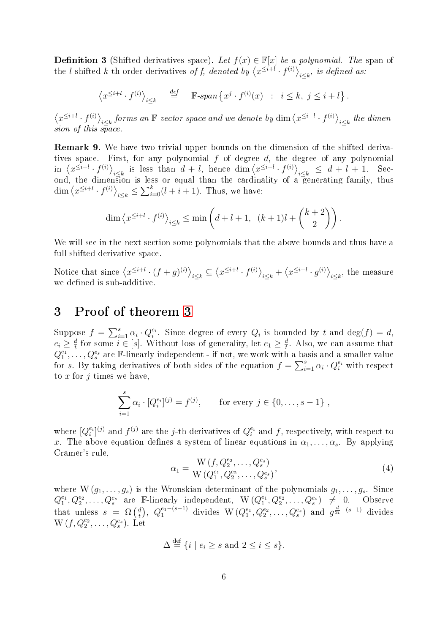**Definition 3** (Shifted derivatives space). Let  $f(x) \in \mathbb{F}[x]$  be a polynomial. The span of the *l*-shifted *k*-th order derivatives of f, denoted by  $\langle x^{\leq i+l} \cdot f^{(i)} \rangle_{i \leq k}$ , is defined as:

$$
\left\langle x^{\leq i+l} \cdot f^{(i)} \right\rangle_{i \leq k} \quad \stackrel{def}{=} \quad \mathbb{F}\text{-}\operatorname{span}\left\{ x^j \cdot f^{(i)}(x) \ : \ i \leq k, \ j \leq i+l \right\}.
$$

 $\langle x^{\leq i+l} \cdot f^{(i)} \rangle_{i \leq k}$  forms an  $\mathbb{F}\text{-vector space}$  and we denote by  $\dim \langle x^{\leq i+l} \cdot f^{(i)} \rangle_{i \leq k}$  the dimension of this space.

Remark 9. We have two trivial upper bounds on the dimension of the shifted derivatives space. First, for any polynomial  $f$  of degree  $d$ , the degree of any polynomial in  $\langle x^{\leq i+l} \cdot f^{(i)} \rangle_{i \leq k}$  is less than  $d+l$ , hence  $\dim \langle x^{\leq i+l} \cdot f^{(i)} \rangle_{i \leq k} \leq d+l+1$ . Second, the dimension is less or equal than the cardinality of a generating family, thus  $\dim \langle x^{\leq i+l} \cdot f^{(i)} \rangle_{i \leq k} \leq \sum_{i=0}^{k} (l+i+1)$ . Thus, we have:

$$
\dim \left\langle x^{\leq i+l} \cdot f^{(i)} \right\rangle_{i \leq k} \leq \min \left( d + l + 1, \ (k+1)l + \binom{k+2}{2} \right).
$$

We will see in the next section some polynomials that the above bounds and thus have a full shifted derivative space.

Notice that since  $\langle x^{\leq i+l} \cdot (f+g)^{(i)} \rangle_{i \leq k} \subseteq \langle x^{\leq i+l} \cdot f^{(i)} \rangle_{i \leq k} + \langle x^{\leq i+l} \cdot g^{(i)} \rangle_{i \leq k}$ , the measure we defined is sub-additive.

#### 3 Proof of theorem [3](#page-2-1)

Suppose  $f = \sum_{i=1}^{s} \alpha_i \cdot Q_i^{e_i}$ . Since degree of every  $Q_i$  is bounded by t and  $\deg(f) = d$ ,  $e_i \geq \frac{d}{t}$  $\frac{d}{t}$  for some  $i \in [s]$ . Without loss of generality, let  $e_1 \geq \frac{d}{t}$  $\frac{d}{t}$ . Also, we can assume that  $Q_1^{e_1}, \ldots, Q_s^{e_s}$  are F-linearly independent - if not, we work with a basis and a smaller value for s. By taking derivatives of both sides of the equation  $f = \sum_{i=1}^{s} \alpha_i \cdot Q_i^{e_i}$  with respect to  $x$  for  $j$  times we have,

$$
\sum_{i=1}^{s} \alpha_i \cdot [Q_i^{e_i}]^{(j)} = f^{(j)}, \quad \text{for every } j \in \{0, \dots, s-1\} ,
$$

where  $[Q_i^{e_i}]^{(j)}$  and  $f^{(j)}$  are the j-th derivatives of  $Q_i^{e_i}$  and f, respectively, with respect to x. The above equation defines a system of linear equations in  $\alpha_1, \ldots, \alpha_s$ . By applying Cramer's rule,

$$
\alpha_1 = \frac{\mathcal{W}\left(f, Q_2^{e_2}, \dots, Q_s^{e_s}\right)}{\mathcal{W}\left(Q_1^{e_1}, Q_2^{e_2}, \dots, Q_s^{e_s}\right)},\tag{4}
$$

where  $W(g_1, \ldots, g_s)$  is the Wronskian determinant of the polynomials  $g_1, \ldots, g_s$ . Since  $Q_1^{e_1}, Q_2^{e_2}, \ldots, Q_s^{e_s}$  are F-linearly independent,  $W(Q_1^{e_1}, Q_2^{e_2}, \ldots, Q_s^{e_s}) \neq 0$ . Observe that unless  $s = \Omega \left( \frac{d}{t} \right)$  $\frac{d}{dt}$ ,  $Q_1^{e_1-(s-1)}$  divides  $W(Q_1^{e_1}, Q_2^{e_2}, \ldots, Q_s^{e_s})$  and  $g^{\frac{d}{2t}-(s-1)}$  divides  $W(f, Q_2^{e_2}, \ldots, Q_s^{e_s}).$  Let

$$
\Delta \stackrel{\text{def}}{=} \{ i \mid e_i \ge s \text{ and } 2 \le i \le s \}.
$$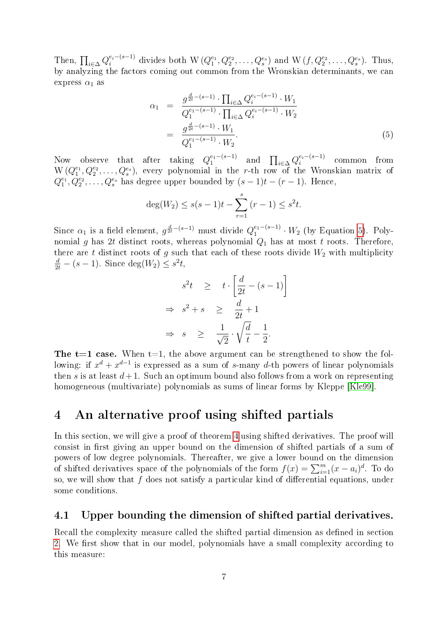Then,  $\prod_{i\in\Delta}Q_i^{e_i-(s-1)}$  divides both  $W(Q_1^{e_1},Q_2^{e_2},\ldots,Q_s^{e_s})$  and  $W(f,Q_2^{e_2},\ldots,Q_s^{e_s})$ . Thus, by analyzing the factors coming out common from the Wronskian determinants, we can express  $\alpha_1$  as

<span id="page-6-1"></span>
$$
\alpha_1 = \frac{g^{\frac{d}{2t} - (s-1)} \cdot \prod_{i \in \Delta} Q_i^{e_i - (s-1)} \cdot W_1}{Q_1^{e_1 - (s-1)} \cdot \prod_{i \in \Delta} Q_i^{e_i - (s-1)} \cdot W_2}
$$

$$
= \frac{g^{\frac{d}{2t} - (s-1)} \cdot W_1}{Q_1^{e_1 - (s-1)} \cdot W_2}.
$$
(5)

Now observe that after taking  $Q_1^{e_1-(s-1)}$  $_{1}^{e_{1}-(s-1)}$  and  $\prod_{i\in\Delta}Q_{i}^{e_{i}-(s-1)}$  $e_i^{e_i-(s-1)}$  common from  $W(Q_1^{e_1}, Q_2^{e_2}, \ldots, Q_s^{e_s}),$  every polynomial in the r-th row of the Wronskian matrix of  $Q_1^{e_1}, Q_2^{e_2}, \ldots, Q_s^{e_s}$  has degree upper bounded by  $(s-1)t-(r-1)$ . Hence,

$$
\deg(W_2) \le s(s-1)t - \sum_{r=1}^{s} (r-1) \le s^2t.
$$

Since  $\alpha_1$  is a field element,  $g^{\frac{d}{2t}-(s-1)}$  must divide  $Q_1^{e_1-(s-1)}$  $i_1^{e_1-(s-1)} \cdot W_2$  (by Equation [5\)](#page-6-1). Polynomial g has 2t distinct roots, whereas polynomial  $Q_1$  has at most t roots. Therefore, there are t distinct roots of g such that each of these roots divide  $W_2$  with multiplicity  $\frac{d}{2t} - (s-1)$ . Since  $\deg(W_2) \leq s^2t$ ,

$$
s^{2}t \geq t \cdot \left[\frac{d}{2t} - (s - 1)\right]
$$
  
\n
$$
\Rightarrow s^{2} + s \geq \frac{d}{2t} + 1
$$
  
\n
$$
\Rightarrow s \geq \frac{1}{\sqrt{2}} \cdot \sqrt{\frac{d}{t}} - \frac{1}{2}.
$$

The  $t=1$  case. When  $t=1$ , the above argument can be strengthened to show the following: if  $x^d + x^{d-1}$  is expressed as a sum of s-many d-th powers of linear polynomials then s is at least  $d+1$ . Such an optimum bound also follows from a work on representing homogeneous (multivariate) polynomials as sums of linear forms by Kleppe [\[Kle99\]](#page-11-13).

### <span id="page-6-0"></span>4 An alternative proof using shifted partials

In this section, we will give a proof of theorem [4](#page-3-1) using shifted derivatives. The proof will consist in first giving an upper bound on the dimension of shifted partials of a sum of powers of low degree polynomials. Thereafter, we give a lower bound on the dimension of shifted derivatives space of the polynomials of the form  $f(x) = \sum_{i=1}^{m} (x - a_i)^d$ . To do so, we will show that  $f$  does not satisfy a particular kind of differential equations, under some conditions.

#### 4.1 Upper bounding the dimension of shifted partial derivatives.

<span id="page-6-2"></span>Recall the complexity measure called the shifted partial dimension as defined in section [2.](#page-4-0) We first show that in our model, polynomials have a small complexity according to this measure: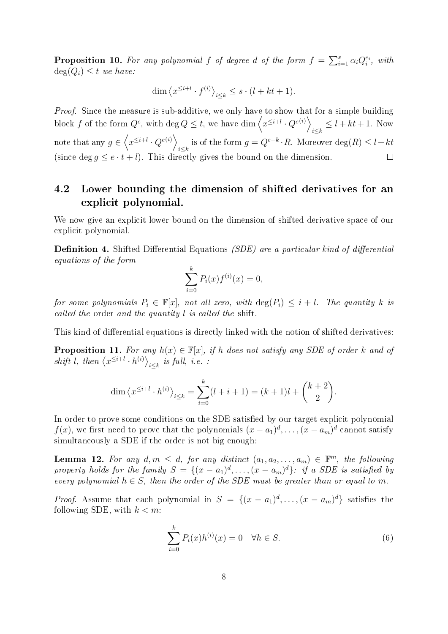**Proposition 10.** For any polynomial f of degree d of the form  $f = \sum_{i=1}^{s} \alpha_i Q_i^{e_i}$ , with  $deg(Q_i) \leq t$  we have:

$$
\dim \left\langle x^{\leq i+l} \cdot f^{(i)} \right\rangle_{i \leq k} \leq s \cdot (l + kt + 1).
$$

*Proof.* Since the measure is sub-additive, we only have to show that for a simple building block f of the form  $Q^e$ , with  $\deg Q \leq t$ , we have  $\dim \left\langle x^{\leq i+l} \cdot Q^{e(i)} \right\rangle$  $\sum_{i\leq k} \leq l + kt + 1$ . Now note that any  $g \in \left\langle x^{\leq i+l} \cdot Q^{e(i)} \right\rangle$ is of the form  $g = Q^{e-k} \cdot R$ . Moreover  $\deg(R) \leq l + kt$ (since deg  $g \leq e \cdot t + l$ ). This directly gives the bound on the dimension.  $\Box$ 

#### 4.2 Lower bounding the dimension of shifted derivatives for an explicit polynomial.

We now give an explicit lower bound on the dimension of shifted derivative space of our explicit polynomial.

**Definition 4.** Shifted Differential Equations *(SDE)* are a particular kind of differential equations of the form

$$
\sum_{i=0}^{k} P_i(x) f^{(i)}(x) = 0,
$$

for some polynomials  $P_i \in \mathbb{F}[x]$ , not all zero, with  $\deg(P_i) \leq i + l$ . The quantity k is called the order and the quantity l is called the shift.

<span id="page-7-1"></span>This kind of differential equations is directly linked with the notion of shifted derivatives:

**Proposition 11.** For any  $h(x) \in \mathbb{F}[x]$ , if h does not satisfy any SDE of order k and of shift l, then  $\langle x^{\leq i+l} \cdot h^{(i)} \rangle_{i \leq k}$  is full, i.e. :

$$
\dim \left\langle x^{\leq i+l} \cdot h^{(i)} \right\rangle_{i \leq k} = \sum_{i=0}^{k} (l+i+1) = (k+1)l + \binom{k+2}{2}.
$$

In order to prove some conditions on the SDE satisfied by our target explicit polynomial  $f(x)$ , we first need to prove that the polynomials  $(x-a_1)^d, \ldots, (x-a_m)^d$  cannot satisfy simultaneously a SDE if the order is not big enough:

<span id="page-7-0"></span>**Lemma 12.** For any  $d, m \leq d$ , for any distinct  $(a_1, a_2, \ldots, a_m) \in \mathbb{F}^m$ , the following property holds for the family  $S = \{(x-a_1)^d, \ldots, (x-a_m)^d\}$ : if a SDE is satisfied by every polynomial  $h \in S$ , then the order of the SDE must be greater than or equal to m.

*Proof.* Assume that each polynomial in  $S = \{(x - a_1)^d, \ldots, (x - a_m)^d\}$  satisfies the following SDE, with  $k < m$ :

$$
\sum_{i=0}^{k} P_i(x)h^{(i)}(x) = 0 \quad \forall h \in S.
$$
\n
$$
(6)
$$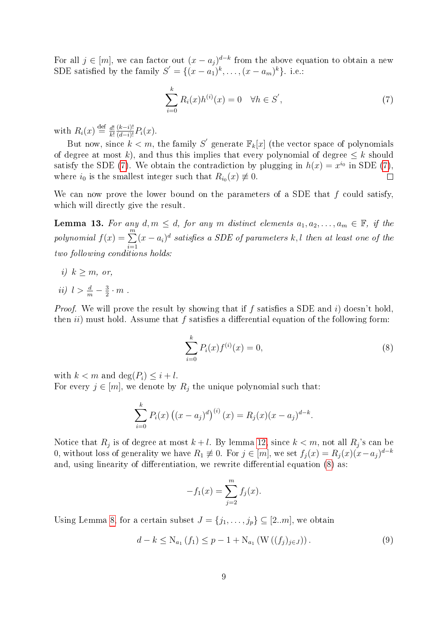For all  $j \in [m]$ , we can factor out  $(x - a_j)^{d-k}$  from the above equation to obtain a new SDE satisfied by the family  $S' = \{(x-a_1)^k, \ldots, (x-a_m)^k\}$ . i.e.:

<span id="page-8-0"></span>
$$
\sum_{i=0}^{k} R_i(x)h^{(i)}(x) = 0 \quad \forall h \in S',
$$
\n(7)

with  $R_i(x) \stackrel{\text{def}}{=} \frac{d!}{k!}$ k!  $\frac{(k-i)!}{(d-i)!} P_i(x)$ .

But now, since  $k < m$ , the family  $S^{'}$  generate  $\mathbb{F}_k[x]$  (the vector space of polynomials of degree at most k), and thus this implies that every polynomial of degree  $\leq k$  should satisfy the SDE [\(7\)](#page-8-0). We obtain the contradiction by plugging in  $h(x) = x^{i_0}$  in SDE (7), where  $i_0$  is the smallest integer such that  $R_{i_0}(x) \neq 0$ .  $\Box$ 

We can now prove the lower bound on the parameters of a SDE that  $f$  could satisfy, which will directly give the result.

<span id="page-8-3"></span>**Lemma 13.** For any  $d, m \leq d$ , for any m distinct elements  $a_1, a_2, \ldots, a_m \in \mathbb{F}$ , if the polynomial  $f(x) = \sum_{m=1}^{m}$  $i=1$  $(x-a_i)^d$  satisfies a SDE of parameters k, l then at least one of the two following conditions holds:

- i)  $k > m$ , or,
- ii)  $l > \frac{d}{m} \frac{3}{2}$  $\frac{3}{2} \cdot m$ .

*Proof.* We will prove the result by showing that if f satisfies a SDE and i) doesn't hold, then  $ii)$  must hold. Assume that f satisfies a differential equation of the following form:

<span id="page-8-1"></span>
$$
\sum_{i=0}^{k} P_i(x) f^{(i)}(x) = 0,
$$
\n(8)

with  $k < m$  and  $\deg(P_i) \leq i + l$ .

For every  $j \in [m]$ , we denote by  $R_j$  the unique polynomial such that:

$$
\sum_{i=0}^{k} P_i(x) ((x - a_j)^d)^{(i)}(x) = R_j(x)(x - a_j)^{d-k}.
$$

Notice that  $R_j$  is of degree at most  $k+l.$  By lemma [12,](#page-7-0) since  $k < m,$  not all  $R_j$ 's can be 0, without loss of generality we have  $R_1 \not\equiv 0$ . For  $j \in [m]$ , we set  $f_j(x) = R_j(x)(x-a_j)^{d-k}$ and, using linearity of differentiation, we rewrite differential equation  $(8)$  as:

<span id="page-8-2"></span>
$$
-f_1(x) = \sum_{j=2}^{m} f_j(x).
$$

Using Lemma [8,](#page-4-1) for a certain subset  $J = \{j_1, \ldots, j_p\} \subseteq [2..m]$ , we obtain

$$
d - k \le N_{a_1}(f_1) \le p - 1 + N_{a_1}(W((f_j)_{j \in J})).
$$
\n(9)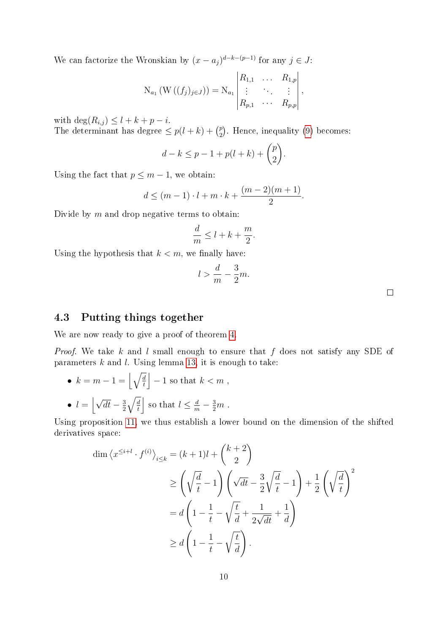We can factorize the Wronskian by  $(x - a_j)^{d-k-(p-1)}$  for any  $j \in J$ :

$$
N_{a_1}(W((f_j)_{j\in J})) = N_{a_1} \begin{vmatrix} R_{1,1} & \dots & R_{1,p} \\ \vdots & & \vdots \\ R_{p,1} & \dots & R_{p,p} \end{vmatrix},
$$

with  $\deg(R_{i,j}) \leq l + k + p - i$ .

The determinant has degree  $\leq p(l+k) + \binom{p}{2}$  $_{2}^{p}$ ). Hence, inequality [\(9\)](#page-8-2) becomes:

 $l$ 

$$
d - k \le p - 1 + p(l + k) + \binom{p}{2}.
$$

Using the fact that  $p \leq m-1$ , we obtain:

$$
d \le (m-1) \cdot l + m \cdot k + \frac{(m-2)(m+1)}{2}.
$$

Divide by  $m$  and drop negative terms to obtain:

$$
\frac{d}{m} \le l + k + \frac{m}{2}
$$

Using the hypothesis that  $k < m$ , we finally have:

$$
>\frac{d}{m}-\frac{3}{2}m.
$$

.

 $\Box$ 

#### 4.3 Putting things together

We are now ready to give a proof of theorem [4.](#page-3-1)

*Proof.* We take k and l small enough to ensure that f does not satisfy any SDE of parameters  $k$  and  $l$ . Using lemma [13,](#page-8-3) it is enough to take:

\n- $$
k = m - 1 = \left\lfloor \sqrt{\frac{d}{t}} \right\rfloor - 1
$$
 so that  $k < m$ ,
\n- $l = \left\lfloor \sqrt{dt} - \frac{3}{2} \sqrt{\frac{d}{t}} \right\rfloor$  so that  $l \leq \frac{d}{m} - \frac{3}{2}m$ .
\n

Using proposition [11,](#page-7-1) we thus establish a lower bound on the dimension of the shifted derivatives space:

$$
\dim \left\langle x^{\leq i+l} \cdot f^{(i)} \right\rangle_{i \leq k} = (k+1)l + {k+2 \choose 2}
$$
  
\n
$$
\geq \left( \sqrt{\frac{d}{t}} - 1 \right) \left( \sqrt{dt} - \frac{3}{2} \sqrt{\frac{d}{t}} - 1 \right) + \frac{1}{2} \left( \sqrt{\frac{d}{t}} \right)^2
$$
  
\n
$$
= d \left( 1 - \frac{1}{t} - \sqrt{\frac{t}{d}} + \frac{1}{2\sqrt{dt}} + \frac{1}{d} \right)
$$
  
\n
$$
\geq d \left( 1 - \frac{1}{t} - \sqrt{\frac{t}{d}} \right).
$$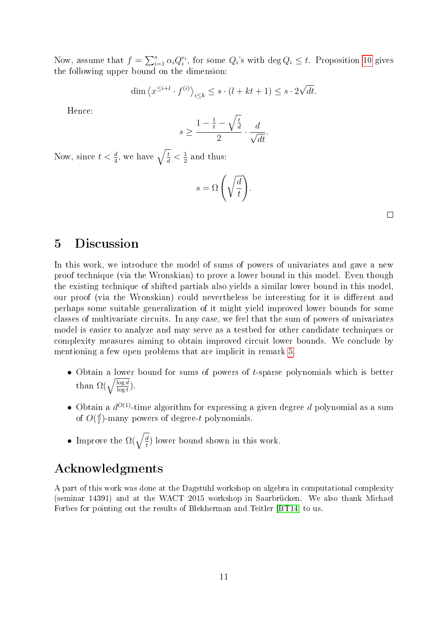Now, assume that  $f = \sum_{i=1}^{s} \alpha_i Q_i^{e_i}$ , for some  $Q_i$ 's with  $\deg Q_i \leq t$ . Proposition [10](#page-6-2) gives the following upper bound on the dimension:

$$
\dim \left\langle x^{\leq i+l} \cdot f^{(i)} \right\rangle_{i \leq k} \leq s \cdot (l + kt + 1) \leq s \cdot 2\sqrt{dt}.
$$

Hence:

$$
s \ge \frac{1 - \frac{1}{t} - \sqrt{\frac{t}{d}}}{2} \cdot \frac{d}{\sqrt{dt}}.
$$

Now, since  $t < \frac{d}{4}$ , we have  $\sqrt{\frac{t}{d}} < \frac{1}{2}$  $\frac{1}{2}$  and thus:

$$
s = \Omega\left(\sqrt{\frac{d}{t}}\right).
$$

# 5 Discussion

In this work, we introduce the model of sums of powers of univariates and gave a new proof technique (via the Wronskian) to prove a lower bound in this model. Even though the existing technique of shifted partials also yields a similar lower bound in this model, our proof (via the Wronskian) could nevertheless be interesting for it is different and perhaps some suitable generalization of it might yield improved lower bounds for some classes of multivariate circuits. In any case, we feel that the sum of powers of univariates model is easier to analyze and may serve as a testbed for other candidate techniques or complexity measures aiming to obtain improved circuit lower bounds. We conclude by mentioning a few open problems that are implicit in remark [5.](#page-3-2)

- Obtain a lower bound for sums of powers of t-sparse polynomials which is better than  $\Omega(\sqrt{\frac{\log d}{\log t}})$ .
- Obtain a  $d^{O(1)}$ -time algorithm for expressing a given degree  $d$  polynomial as a sum of  $O(\frac{d}{t})$  $\frac{d}{t}$ )-many powers of degree- $t$  polynomials.
- Improve the  $\Omega(\sqrt{\frac{d}{t}})$  $\frac{d}{t}$ ) lower bound shown in this work.

# Acknowledgments

A part of this work was done at the Dagstuhl workshop on algebra in computational complexity (seminar 14391) and at the WACT 2015 workshop in Saarbrücken. We also thank Michael Forbes for pointing out the results of Blekherman and Teitler [\[BT14\]](#page-11-11) to us.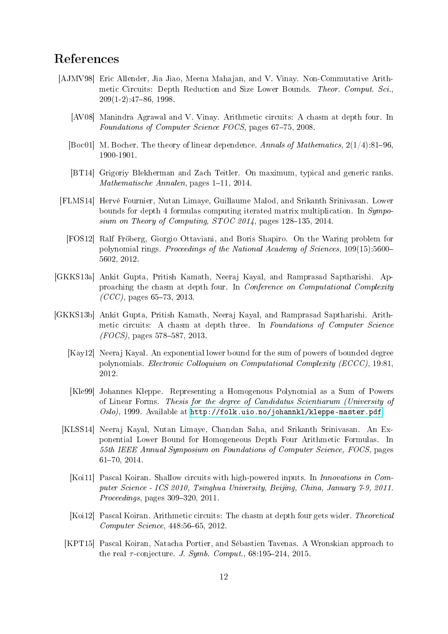# References

- <span id="page-11-1"></span><span id="page-11-0"></span>[AJMV98] Eric Allender, Jia Jiao, Meena Mahajan, and V. Vinay. Non-Commutative Arithmetic Circuits: Depth Reduction and Size Lower Bounds. Theor. Comput. Sci.,  $209(1-2):47-86, 1998.$ 
	- [AV08] Manindra Agrawal and V. Vinay. Arithmetic circuits: A chasm at depth four. In Foundations of Computer Science FOCS, pages 67-75, 2008.
	- [Boc01] M. Bocher. The theory of linear dependence. Annals of Mathematics,  $2(1/4):81-96$ , 1900-1901.
	- [BT14] Grigoriy Blekherman and Zach Teitler. On maximum, typical and generic ranks.  $Mathematicsche Annalen, pages 1–11, 2014.$
- <span id="page-11-12"></span><span id="page-11-11"></span><span id="page-11-10"></span><span id="page-11-6"></span>[FLMS14] Hervé Fournier, Nutan Limaye, Guillaume Malod, and Srikanth Srinivasan. Lower bounds for depth 4 formulas computing iterated matrix multiplication. In Symposium on Theory of Computing,  $STOC$  2014, pages 128-135, 2014.
	- [FOS12] Ralf Fröberg, Giorgio Ottaviani, and Boris Shapiro. On the Waring problem for polynomial rings. Proceedings of the National Academy of Sciences, 109(15):5600 5602, 2012.
- <span id="page-11-5"></span>[GKKS13a] Ankit Gupta, Pritish Kamath, Neeraj Kayal, and Ramprasad Saptharishi. Approaching the chasm at depth four. In Conference on Computational Complexity  $(CCC)$ , pages 65-73, 2013.
- <span id="page-11-13"></span><span id="page-11-9"></span><span id="page-11-8"></span><span id="page-11-7"></span><span id="page-11-4"></span><span id="page-11-3"></span><span id="page-11-2"></span>[GKKS13b] Ankit Gupta, Pritish Kamath, Neeraj Kayal, and Ramprasad Saptharishi. Arithmetic circuits: A chasm at depth three. In Foundations of Computer Science  $(FOCS)$ , pages 578–587, 2013.
	- [Kay12] Neeraj Kayal. An exponential lower bound for the sum of powers of bounded degree polynomials. Electronic Colloquium on Computational Complexity (ECCC), 19:81, 2012.
	- [Kle99] Johannes Kleppe. Representing a Homogenous Polynomial as a Sum of Powers of Linear Forms. Thesis for the degree of Candidatus Scientiarum (University of Oslo), 1999. Available at [http://folk.uio.no/johannkl/kleppe-master.pdf.](http://folk.uio.no/johannkl/kleppe-master.pdf)
	- [KLSS14] Neeraj Kayal, Nutan Limaye, Chandan Saha, and Srikanth Srinivasan. An Exponential Lower Bound for Homogeneous Depth Four Arithmetic Formulas. In 55th IEEE Annual Symposium on Foundations of Computer Science, FOCS, pages 6170, 2014.
		- [Koi11] Pascal Koiran. Shallow circuits with high-powered inputs. In Innovations in Computer Science - ICS 2010, Tsinghua University, Beijing, China, January 7-9, 2011.  $Proceedings, pages 309-320, 2011.$
		- [Koi12] Pascal Koiran. Arithmetic circuits: The chasm at depth four gets wider. Theoretical  $Computer\, Science, 448:56-65, 2012.$
	- [KPT15] Pascal Koiran, Natacha Portier, and Sébastien Tavenas. A Wronskian approach to the real  $\tau$ -conjecture. J. Symb. Comput., 68:195-214, 2015.